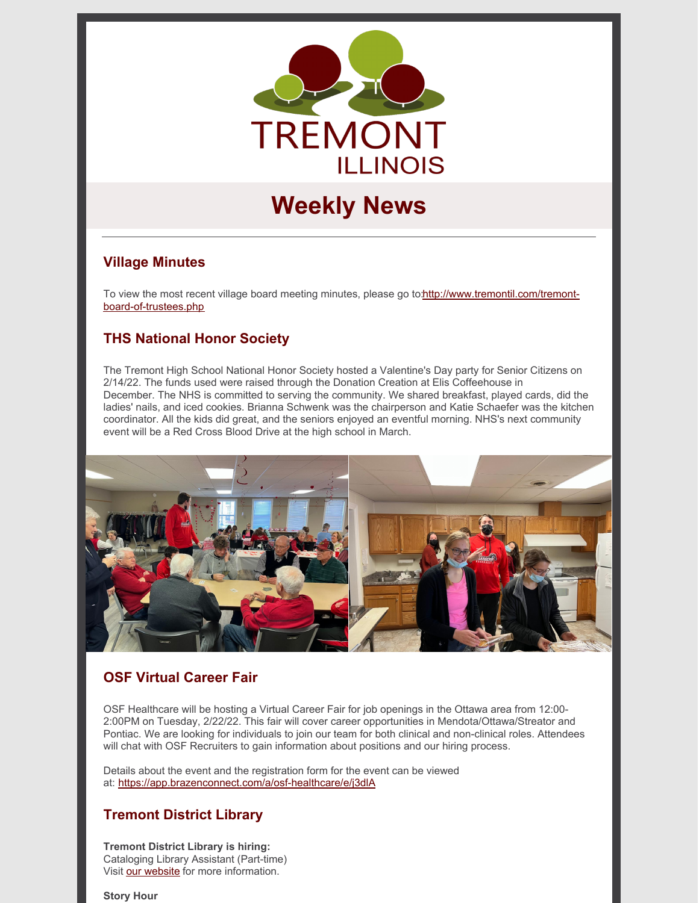

# **Weekly News**

# **Village Minutes**

To view the most recent village board meeting minutes, please go [to:http://www.tremontil.com/tremont](http://www.tremontil.com/tremont-board-of-trustees.php)board-of-trustees.php

# **THS National Honor Society**

The Tremont High School National Honor Society hosted a Valentine's Day party for Senior Citizens on 2/14/22. The funds used were raised through the Donation Creation at Elis Coffeehouse in December. The NHS is committed to serving the community. We shared breakfast, played cards, did the ladies' nails, and iced cookies. Brianna Schwenk was the chairperson and Katie Schaefer was the kitchen coordinator. All the kids did great, and the seniors enjoyed an eventful morning. NHS's next community event will be a Red Cross Blood Drive at the high school in March.



# **OSF Virtual Career Fair**

OSF Healthcare will be hosting a Virtual Career Fair for job openings in the Ottawa area from 12:00- 2:00PM on Tuesday, 2/22/22. This fair will cover career opportunities in Mendota/Ottawa/Streator and Pontiac. We are looking for individuals to join our team for both clinical and non-clinical roles. Attendees will chat with OSF Recruiters to gain information about positions and our hiring process.

Details about the event and the registration form for the event can be viewed at: <https://app.brazenconnect.com/a/osf-healthcare/e/j3dlA>

# **Tremont District Library**

**Tremont District Library is hiring:** Cataloging Library Assistant (Part-time) Visit our [website](https://tremontlibrary.com/hiring/) for more information.

**Story Hour**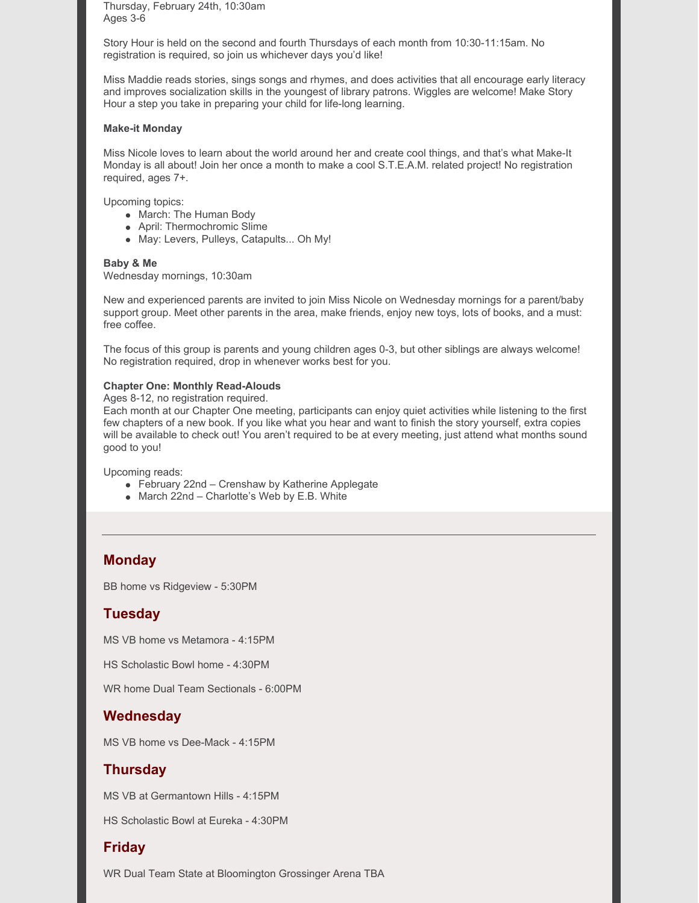Thursday, February 24th, 10:30am Ages 3-6

Story Hour is held on the second and fourth Thursdays of each month from 10:30-11:15am. No registration is required, so join us whichever days you'd like!

Miss Maddie reads stories, sings songs and rhymes, and does activities that all encourage early literacy and improves socialization skills in the youngest of library patrons. Wiggles are welcome! Make Story Hour a step you take in preparing your child for life-long learning.

#### **Make-it Monday**

Miss Nicole loves to learn about the world around her and create cool things, and that's what Make-It Monday is all about! Join her once a month to make a cool S.T.E.A.M. related project! No registration required, ages 7+.

Upcoming topics:

- March: The Human Body
- April: Thermochromic Slime
- May: Levers, Pulleys, Catapults... Oh My!

#### **Baby & Me**

Wednesday mornings, 10:30am

New and experienced parents are invited to join Miss Nicole on Wednesday mornings for a parent/baby support group. Meet other parents in the area, make friends, enjoy new toys, lots of books, and a must: free coffee.

The focus of this group is parents and young children ages 0-3, but other siblings are always welcome! No registration required, drop in whenever works best for you.

#### **Chapter One: Monthly Read-Alouds**

Ages 8-12, no registration required.

Each month at our Chapter One meeting, participants can enjoy quiet activities while listening to the first few chapters of a new book. If you like what you hear and want to finish the story yourself, extra copies will be available to check out! You aren't required to be at every meeting, just attend what months sound good to you!

Upcoming reads:

- February 22nd Crenshaw by Katherine Applegate
- March 22nd Charlotte's Web by E.B. White

## **Monday**

BB home vs Ridgeview - 5:30PM

#### **Tuesday**

MS VB home vs Metamora - 4:15PM

HS Scholastic Bowl home - 4:30PM

WR home Dual Team Sectionals - 6:00PM

## **Wednesday**

MS VB home vs Dee-Mack - 4:15PM

## **Thursday**

MS VB at Germantown Hills - 4:15PM

HS Scholastic Bowl at Eureka - 4:30PM

## **Friday**

WR Dual Team State at Bloomington Grossinger Arena TBA